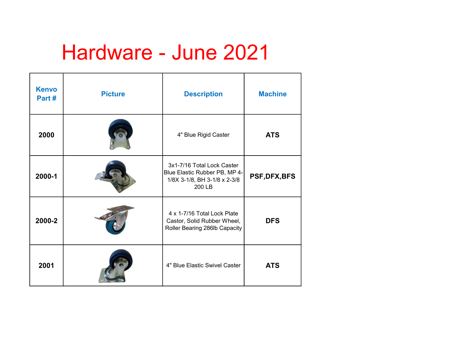## Hardware - June 2021

| <b>Kenvo</b><br>Part# | <b>Picture</b> | <b>Description</b>                                                                                    | <b>Machine</b> |
|-----------------------|----------------|-------------------------------------------------------------------------------------------------------|----------------|
| 2000                  |                | 4" Blue Rigid Caster                                                                                  | <b>ATS</b>     |
| 2000-1                |                | 3x1-7/16 Total Lock Caster<br>Blue Elastic Rubber PB, MP 4-<br>1/8X 3-1/8, BH 3-1/8 x 2-3/8<br>200 LB | PSF, DFX, BFS  |
| 2000-2                |                | 4 x 1-7/16 Total Lock Plate<br>Castor, Solid Rubber Wheel,<br>Roller Bearing 286lb Capacity           | <b>DFS</b>     |
| 2001                  |                | 4" Blue Elastic Swivel Caster                                                                         | <b>ATS</b>     |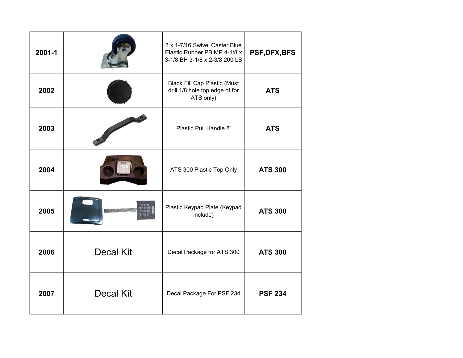| 2001-1 |                  | 3 x 1-7/16 Swivel Caster Blue<br>Elastic Rubber PB MP 4-1/8 x<br>3-1/8 BH 3-1/8 x 2-3/8 200 LB | PSF, DFX, BFS  |
|--------|------------------|------------------------------------------------------------------------------------------------|----------------|
| 2002   |                  | <b>Black Fill Cap Plastic (Must</b><br>drill 1/8 hole top edge of for<br>ATS only)             | <b>ATS</b>     |
| 2003   |                  | Plastic Pull Handle 8'                                                                         | <b>ATS</b>     |
| 2004   |                  | ATS 300 Plastic Top Only                                                                       | <b>ATS 300</b> |
| 2005   |                  | Plastic Keypad Plate (Keypad<br>include)                                                       | <b>ATS 300</b> |
| 2006   | <b>Decal Kit</b> | Decal Package for ATS 300                                                                      | <b>ATS 300</b> |
| 2007   | <b>Decal Kit</b> | Decal Package For PSF 234                                                                      | <b>PSF 234</b> |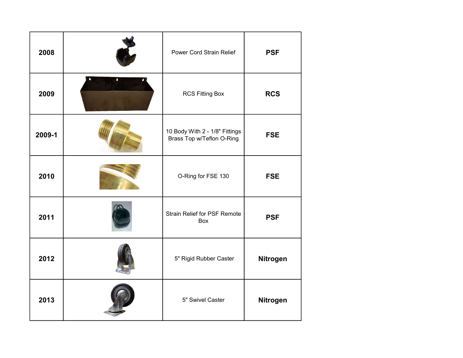| 2008   |                | Power Cord Strain Relief                                    | <b>PSF</b> |
|--------|----------------|-------------------------------------------------------------|------------|
| 2009   | ٥<br>$\bullet$ | <b>RCS Fitting Box</b>                                      | <b>RCS</b> |
| 2009-1 |                | 10 Body With 2 - 1/8" Fittings<br>Brass Top w/Teflon O-Ring | <b>FSE</b> |
| 2010   |                | O-Ring for FSE 130                                          | <b>FSE</b> |
| 2011   |                | <b>Strain Relief for PSF Remote</b><br>Box                  | <b>PSF</b> |
| 2012   |                | 5" Rigid Rubber Caster                                      | Nitrogen   |
| 2013   |                | 5" Swivel Caster                                            | Nitrogen   |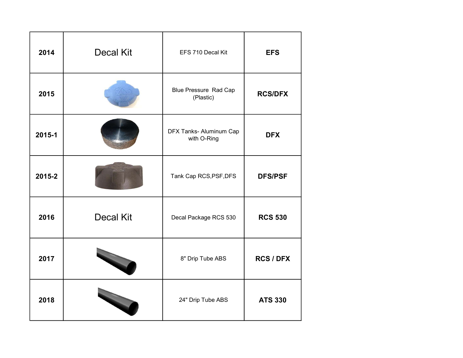| 2014   | <b>Decal Kit</b> | EFS 710 Decal Kit                         | <b>EFS</b>       |
|--------|------------------|-------------------------------------------|------------------|
| 2015   |                  | <b>Blue Pressure Rad Cap</b><br>(Plastic) | <b>RCS/DFX</b>   |
| 2015-1 |                  | DFX Tanks- Aluminum Cap<br>with O-Ring    | <b>DFX</b>       |
| 2015-2 |                  | Tank Cap RCS, PSF, DFS                    | <b>DFS/PSF</b>   |
| 2016   | <b>Decal Kit</b> | Decal Package RCS 530                     | <b>RCS 530</b>   |
| 2017   |                  | 8" Drip Tube ABS                          | <b>RCS / DFX</b> |
| 2018   |                  | 24" Drip Tube ABS                         | <b>ATS 330</b>   |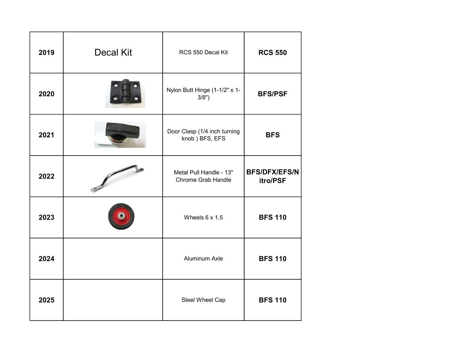| 2019 | <b>Decal Kit</b> | RCS 550 Decal Kit                              | <b>RCS 550</b>                   |
|------|------------------|------------------------------------------------|----------------------------------|
| 2020 |                  | Nylon Butt Hinge (1-1/2" x 1-<br>3/8")         | <b>BFS/PSF</b>                   |
| 2021 |                  | Door Clasp (1/4 inch turning<br>knob) BFS, EFS | <b>BFS</b>                       |
| 2022 |                  | Metal Pull Handle - 13"<br>Chrome Grab Handle  | <b>BFS/DFX/EFS/N</b><br>itro/PSF |
| 2023 |                  | Wheels $6 \times 1.5$                          | <b>BFS 110</b>                   |
| 2024 |                  | Aluminum Axle                                  | <b>BFS 110</b>                   |
| 2025 |                  | Steel Wheel Cap                                | <b>BFS 110</b>                   |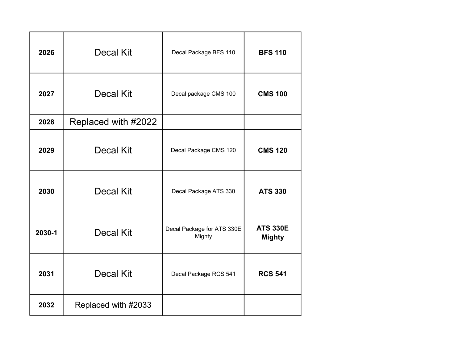| 2026   | Decal Kit           | Decal Package BFS 110                | <b>BFS 110</b>                   |
|--------|---------------------|--------------------------------------|----------------------------------|
| 2027   | Decal Kit           | Decal package CMS 100                | <b>CMS 100</b>                   |
| 2028   | Replaced with #2022 |                                      |                                  |
| 2029   | Decal Kit           | Decal Package CMS 120                | <b>CMS 120</b>                   |
| 2030   | Decal Kit           | Decal Package ATS 330                | <b>ATS 330</b>                   |
| 2030-1 | Decal Kit           | Decal Package for ATS 330E<br>Mighty | <b>ATS 330E</b><br><b>Mighty</b> |
| 2031   | Decal Kit           | Decal Package RCS 541                | <b>RCS 541</b>                   |
| 2032   | Replaced with #2033 |                                      |                                  |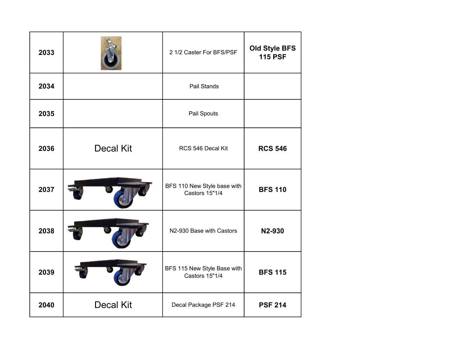| 2033 |                  | 2 1/2 Caster For BFS/PSF                             | <b>Old Style BFS</b><br><b>115 PSF</b> |
|------|------------------|------------------------------------------------------|----------------------------------------|
| 2034 |                  | Pail Stands                                          |                                        |
| 2035 |                  | Pail Spouts                                          |                                        |
| 2036 | <b>Decal Kit</b> | RCS 546 Decal Kit                                    | <b>RCS 546</b>                         |
| 2037 |                  | BFS 110 New Style base with<br><b>Castors 15"1/4</b> | <b>BFS 110</b>                         |
| 2038 |                  | N2-930 Base with Castors                             | N2-930                                 |
| 2039 |                  | BFS 115 New Style Base with<br><b>Castors 15"1/4</b> | <b>BFS 115</b>                         |
| 2040 | <b>Decal Kit</b> | Decal Package PSF 214                                | <b>PSF 214</b>                         |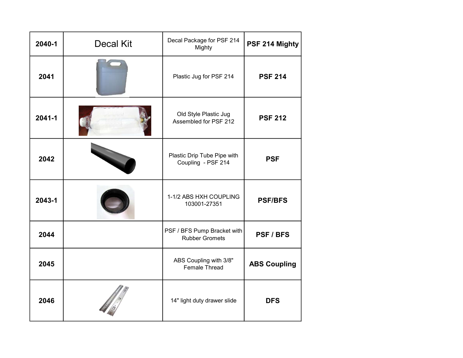| 2040-1     | <b>Decal Kit</b> | Decal Package for PSF 214<br>Mighty                  | PSF 214 Mighty      |
|------------|------------------|------------------------------------------------------|---------------------|
| 2041       |                  | Plastic Jug for PSF 214                              | <b>PSF 214</b>      |
| $2041 - 1$ |                  | Old Style Plastic Jug<br>Assembled for PSF 212       | <b>PSF 212</b>      |
| 2042       |                  | Plastic Drip Tube Pipe with<br>Coupling - PSF 214    | <b>PSF</b>          |
| 2043-1     |                  | 1-1/2 ABS HXH COUPLING<br>103001-27351               | <b>PSF/BFS</b>      |
| 2044       |                  | PSF / BFS Pump Bracket with<br><b>Rubber Gromets</b> | PSF / BFS           |
| 2045       |                  | ABS Coupling with 3/8"<br>Female Thread              | <b>ABS Coupling</b> |
| 2046       |                  | 14" light duty drawer slide                          | <b>DFS</b>          |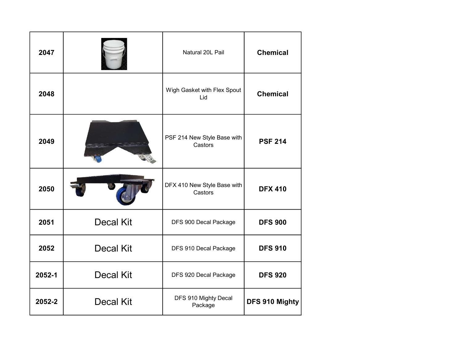| 2047   |                  | Natural 20L Pail                       | <b>Chemical</b> |
|--------|------------------|----------------------------------------|-----------------|
| 2048   |                  | Wigh Gasket with Flex Spout<br>Lid     | <b>Chemical</b> |
| 2049   |                  | PSF 214 New Style Base with<br>Castors | <b>PSF 214</b>  |
| 2050   |                  | DFX 410 New Style Base with<br>Castors | <b>DFX 410</b>  |
| 2051   | <b>Decal Kit</b> | DFS 900 Decal Package                  | <b>DFS 900</b>  |
| 2052   | <b>Decal Kit</b> | DFS 910 Decal Package                  | <b>DFS 910</b>  |
| 2052-1 | <b>Decal Kit</b> | DFS 920 Decal Package                  | <b>DFS 920</b>  |
| 2052-2 | <b>Decal Kit</b> | DFS 910 Mighty Decal<br>Package        | DFS 910 Mighty  |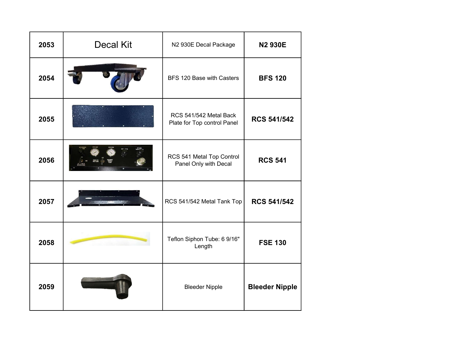| 2053 | <b>Decal Kit</b> | N2 930E Decal Package                                 | <b>N2 930E</b>        |
|------|------------------|-------------------------------------------------------|-----------------------|
| 2054 |                  | BFS 120 Base with Casters                             | <b>BFS 120</b>        |
| 2055 |                  | RCS 541/542 Metal Back<br>Plate for Top control Panel | <b>RCS 541/542</b>    |
| 2056 |                  | RCS 541 Metal Top Control<br>Panel Only with Decal    | <b>RCS 541</b>        |
| 2057 |                  | RCS 541/542 Metal Tank Top                            | <b>RCS 541/542</b>    |
| 2058 |                  | Teflon Siphon Tube: 6 9/16"<br>Length                 | <b>FSE 130</b>        |
| 2059 |                  | <b>Bleeder Nipple</b>                                 | <b>Bleeder Nipple</b> |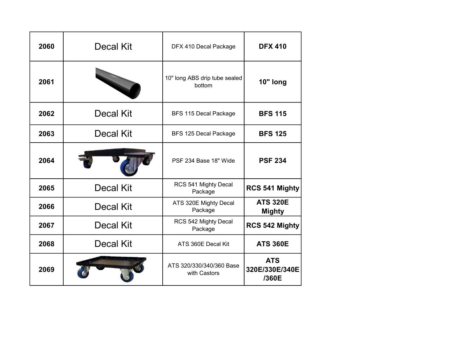| 2060 | Decal Kit        | DFX 410 Decal Package                    | <b>DFX 410</b>                        |
|------|------------------|------------------------------------------|---------------------------------------|
| 2061 |                  | 10" long ABS drip tube sealed<br>bottom  | 10" long                              |
| 2062 | <b>Decal Kit</b> | BFS 115 Decal Package                    | <b>BFS 115</b>                        |
| 2063 | Decal Kit        | BFS 125 Decal Package                    | <b>BFS 125</b>                        |
| 2064 |                  | PSF 234 Base 18" Wide                    | <b>PSF 234</b>                        |
| 2065 | <b>Decal Kit</b> | RCS 541 Mighty Decal<br>Package          | RCS 541 Mighty                        |
| 2066 | <b>Decal Kit</b> | ATS 320E Mighty Decal<br>Package         | <b>ATS 320E</b><br><b>Mighty</b>      |
| 2067 | Decal Kit        | RCS 542 Mighty Decal<br>Package          | RCS 542 Mighty                        |
| 2068 | Decal Kit        | ATS 360E Decal Kit                       | <b>ATS 360E</b>                       |
| 2069 |                  | ATS 320/330/340/360 Base<br>with Castors | <b>ATS</b><br>320E/330E/340E<br>/360E |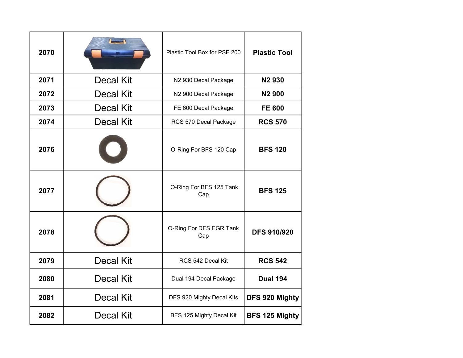| 2070 |           | Plastic Tool Box for PSF 200   | <b>Plastic Tool</b>   |
|------|-----------|--------------------------------|-----------------------|
| 2071 | Decal Kit | N2 930 Decal Package           | <b>N2930</b>          |
| 2072 | Decal Kit | N2 900 Decal Package           | <b>N2900</b>          |
| 2073 | Decal Kit | FE 600 Decal Package           | <b>FE 600</b>         |
| 2074 | Decal Kit | RCS 570 Decal Package          | <b>RCS 570</b>        |
| 2076 |           | O-Ring For BFS 120 Cap         | <b>BFS 120</b>        |
| 2077 |           | O-Ring For BFS 125 Tank<br>Cap | <b>BFS 125</b>        |
| 2078 |           | O-Ring For DFS EGR Tank<br>Cap | <b>DFS 910/920</b>    |
| 2079 | Decal Kit | RCS 542 Decal Kit              | <b>RCS 542</b>        |
| 2080 | Decal Kit | Dual 194 Decal Package         | <b>Dual 194</b>       |
| 2081 | Decal Kit | DFS 920 Mighty Decal Kits      | DFS 920 Mighty        |
| 2082 | Decal Kit | BFS 125 Mighty Decal Kit       | <b>BFS 125 Mighty</b> |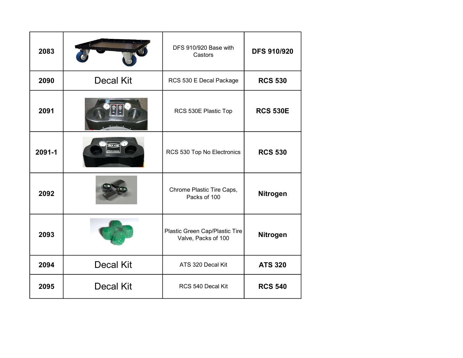| 2083   |                  | DFS 910/920 Base with<br>Castors                      | <b>DFS 910/920</b> |
|--------|------------------|-------------------------------------------------------|--------------------|
| 2090   | <b>Decal Kit</b> | RCS 530 E Decal Package                               | <b>RCS 530</b>     |
| 2091   |                  | RCS 530E Plastic Top                                  | <b>RCS 530E</b>    |
| 2091-1 |                  | RCS 530 Top No Electronics                            | <b>RCS 530</b>     |
| 2092   |                  | Chrome Plastic Tire Caps,<br>Packs of 100             | Nitrogen           |
| 2093   |                  | Plastic Green Cap/Plastic Tire<br>Valve, Packs of 100 | Nitrogen           |
| 2094   | <b>Decal Kit</b> | ATS 320 Decal Kit                                     | <b>ATS 320</b>     |
| 2095   | <b>Decal Kit</b> | RCS 540 Decal Kit                                     | <b>RCS 540</b>     |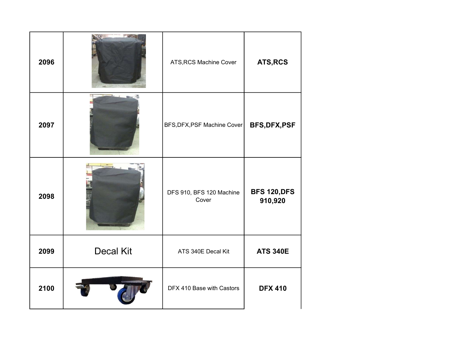| 2096 |                  | ATS, RCS Machine Cover            | ATS, RCS                       |
|------|------------------|-----------------------------------|--------------------------------|
| 2097 |                  | BFS, DFX, PSF Machine Cover       | <b>BFS, DFX, PSF</b>           |
| 2098 |                  | DFS 910, BFS 120 Machine<br>Cover | <b>BFS 120, DFS</b><br>910,920 |
| 2099 | <b>Decal Kit</b> | ATS 340E Decal Kit                | <b>ATS 340E</b>                |
| 2100 |                  | DFX 410 Base with Castors         | <b>DFX 410</b>                 |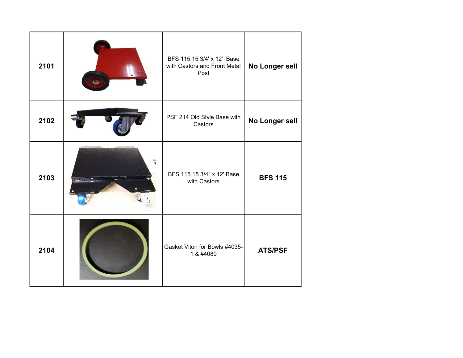| 2101 | BFS 115 15 3/4' x 12' Base<br>with Castors and Front Metal<br>Post | No Longer sell |
|------|--------------------------------------------------------------------|----------------|
| 2102 | PSF 214 Old Style Base with<br>Castors                             | No Longer sell |
| 2103 | BFS 115 15 3/4" x 12' Base<br>with Castors                         | <b>BFS 115</b> |
| 2104 | Gasket Viton for Bowls #4035-<br>1 & #4089                         | <b>ATS/PSF</b> |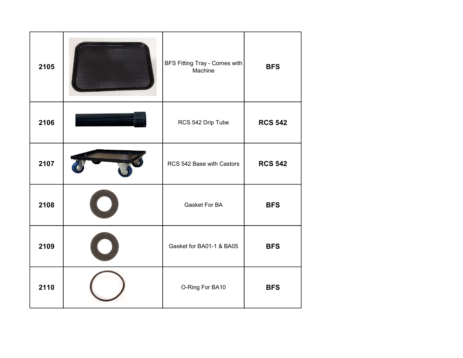| 2105 | BFS Fitting Tray - Comes with<br>Machine | <b>BFS</b>     |
|------|------------------------------------------|----------------|
| 2106 | RCS 542 Drip Tube                        | <b>RCS 542</b> |
| 2107 | RCS 542 Base with Castors                | <b>RCS 542</b> |
| 2108 | Gasket For BA                            | <b>BFS</b>     |
| 2109 | Gasket for BA01-1 & BA05                 | <b>BFS</b>     |
| 2110 | O-Ring For BA10                          | <b>BFS</b>     |